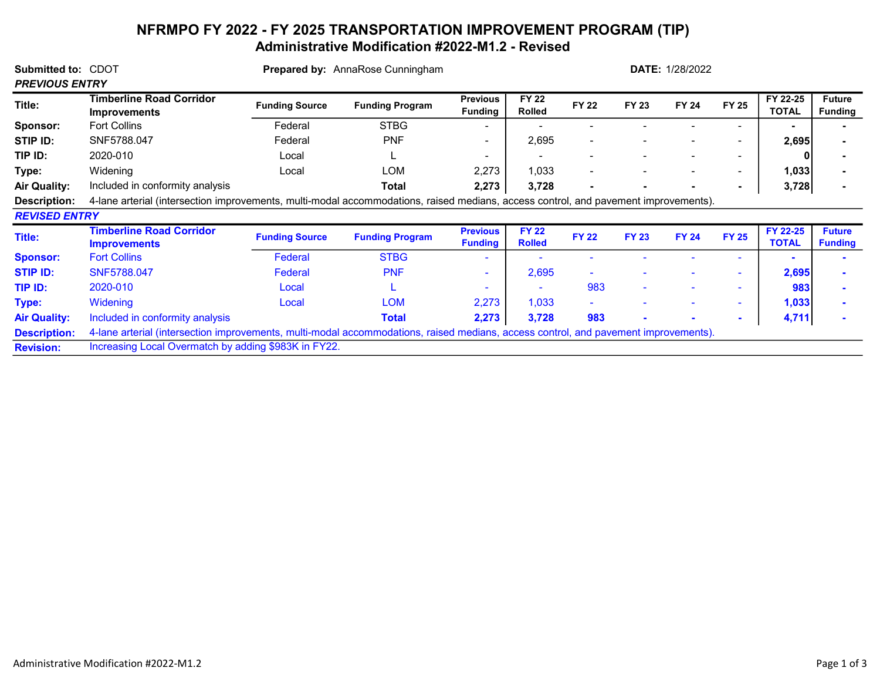## NFRMPO FY 2022 - FY 2025 TRANSPORTATION IMPROVEMENT PROGRAM (TIP) Administrative Modification #2022-M1.2 - Revised

| Submitted to: CDOT<br><b>PREVIOUS ENTRY</b> |                                                                                                                                     | <b>Prepared by:</b> AnnaRose Cunningham | <b>DATE: 1/28/2022</b> |                                   |                               |              |              |              |              |                          |                                 |
|---------------------------------------------|-------------------------------------------------------------------------------------------------------------------------------------|-----------------------------------------|------------------------|-----------------------------------|-------------------------------|--------------|--------------|--------------|--------------|--------------------------|---------------------------------|
| Title:                                      | <b>Timberline Road Corridor</b><br><b>Improvements</b>                                                                              | <b>Funding Source</b>                   | <b>Funding Program</b> | <b>Previous</b><br><b>Funding</b> | <b>FY 22</b><br><b>Rolled</b> | <b>FY 22</b> | <b>FY 23</b> | <b>FY 24</b> | <b>FY 25</b> | FY 22-25<br><b>TOTAL</b> | <b>Future</b><br><b>Funding</b> |
| Sponsor:                                    | <b>Fort Collins</b>                                                                                                                 | Federal                                 | <b>STBG</b>            |                                   |                               |              |              |              |              |                          |                                 |
| STIP ID:                                    | SNF5788.047                                                                                                                         | Federal                                 | <b>PNF</b>             | $\overline{\phantom{a}}$          | 2,695                         |              |              |              | ۰.           | 2,695                    |                                 |
| TIP ID:                                     | 2020-010                                                                                                                            | Local                                   |                        |                                   |                               |              |              |              | ۰.           |                          |                                 |
| Type:                                       | Widening                                                                                                                            | Local                                   | <b>LOM</b>             | 2,273                             | 1,033                         |              |              |              | ٠.           | 1,033                    |                                 |
| <b>Air Quality:</b>                         | Included in conformity analysis                                                                                                     |                                         | Total                  | 2,273                             | 3,728                         |              |              |              |              | 3,728                    |                                 |
| Description:                                | 4-lane arterial (intersection improvements, multi-modal accommodations, raised medians, access control, and pavement improvements). |                                         |                        |                                   |                               |              |              |              |              |                          |                                 |
| <b>REVISED ENTRY</b>                        |                                                                                                                                     |                                         |                        |                                   |                               |              |              |              |              |                          |                                 |
| Title:                                      | <b>Timberline Road Corridor</b><br><b>Improvements</b>                                                                              | <b>Funding Source</b>                   | <b>Funding Program</b> | <b>Previous</b><br><b>Funding</b> | <b>FY 22</b><br><b>Rolled</b> | <b>FY 22</b> | <b>FY 23</b> | <b>FY 24</b> | <b>FY 25</b> | FY 22-25<br><b>TOTAL</b> | <b>Future</b><br><b>Funding</b> |
| <b>Sponsor:</b>                             | <b>Fort Collins</b>                                                                                                                 | <b>Federal</b>                          | <b>STBG</b>            |                                   |                               |              |              |              |              |                          |                                 |
| <b>STIP ID:</b>                             | SNF5788.047                                                                                                                         | Federal                                 | <b>PNF</b>             |                                   | 2,695                         |              |              |              |              | 2,695                    |                                 |
| TIP ID:                                     | 2020-010                                                                                                                            | Local                                   |                        |                                   |                               | 983          |              |              | ۰            | 983                      |                                 |
| Type:                                       | Widening                                                                                                                            | Local                                   | <b>LOM</b>             | 2,273                             | 1,033                         |              |              |              | ۰.           | 1,033                    |                                 |
| <b>Air Quality:</b>                         | Included in conformity analysis                                                                                                     |                                         | <b>Total</b>           | 2,273                             | 3,728                         | 983          |              |              | ۰.           | 4,711                    |                                 |
| <b>Description:</b>                         | 4-lane arterial (intersection improvements, multi-modal accommodations, raised medians, access control, and pavement improvements). |                                         |                        |                                   |                               |              |              |              |              |                          |                                 |
| <b>Revision:</b>                            | Increasing Local Overmatch by adding \$983K in FY22.                                                                                |                                         |                        |                                   |                               |              |              |              |              |                          |                                 |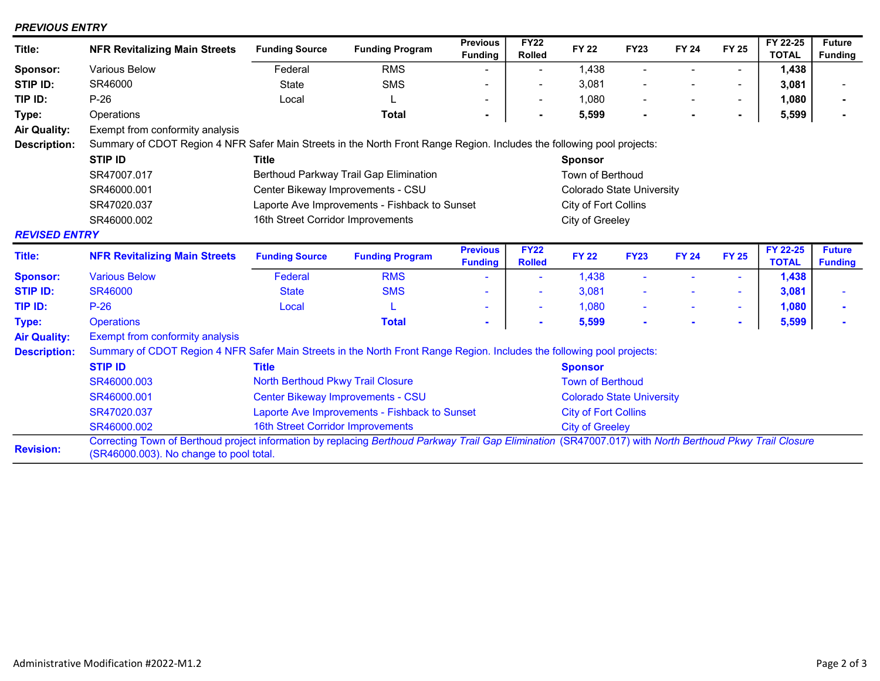## PREVIOUS ENTRY

| Title:               | <b>NFR Revitalizing Main Streets</b>                                                                                                                                                                | <b>Funding Source</b>                         | <b>Funding Program</b> | <b>Previous</b><br><b>Funding</b> | <b>FY22</b><br><b>Rolled</b> | <b>FY 22</b>                     | <b>FY23</b> | <b>FY 24</b> | <b>FY 25</b>   | FY 22-25<br><b>TOTAL</b> | <b>Future</b><br><b>Funding</b> |  |
|----------------------|-----------------------------------------------------------------------------------------------------------------------------------------------------------------------------------------------------|-----------------------------------------------|------------------------|-----------------------------------|------------------------------|----------------------------------|-------------|--------------|----------------|--------------------------|---------------------------------|--|
| Sponsor:             | Various Below                                                                                                                                                                                       | Federal                                       | <b>RMS</b>             |                                   | $\blacksquare$               | 1,438                            |             |              | $\blacksquare$ | 1,438                    |                                 |  |
| STIP ID:             | SR46000                                                                                                                                                                                             | <b>State</b>                                  | <b>SMS</b>             |                                   | $\overline{\phantom{a}}$     | 3,081                            |             |              | $\blacksquare$ | 3,081                    |                                 |  |
| TIP ID:              | $P-26$                                                                                                                                                                                              | Local                                         |                        |                                   | $\overline{\phantom{a}}$     | 1,080                            |             |              | $\blacksquare$ | 1,080                    |                                 |  |
| Type:                | Operations                                                                                                                                                                                          |                                               | <b>Total</b>           |                                   | $\blacksquare$               | 5,599                            |             |              | ٠              | 5,599                    |                                 |  |
| <b>Air Quality:</b>  | Exempt from conformity analysis                                                                                                                                                                     |                                               |                        |                                   |                              |                                  |             |              |                |                          |                                 |  |
| <b>Description:</b>  | Summary of CDOT Region 4 NFR Safer Main Streets in the North Front Range Region. Includes the following pool projects:                                                                              |                                               |                        |                                   |                              |                                  |             |              |                |                          |                                 |  |
|                      | <b>STIP ID</b>                                                                                                                                                                                      | <b>Title</b>                                  |                        |                                   |                              | <b>Sponsor</b>                   |             |              |                |                          |                                 |  |
|                      | SR47007.017                                                                                                                                                                                         | Berthoud Parkway Trail Gap Elimination        |                        | Town of Berthoud                  |                              |                                  |             |              |                |                          |                                 |  |
|                      | SR46000.001                                                                                                                                                                                         | Center Bikeway Improvements - CSU             |                        | <b>Colorado State University</b>  |                              |                                  |             |              |                |                          |                                 |  |
|                      | SR47020.037                                                                                                                                                                                         | Laporte Ave Improvements - Fishback to Sunset |                        |                                   |                              | City of Fort Collins             |             |              |                |                          |                                 |  |
|                      | SR46000.002                                                                                                                                                                                         | 16th Street Corridor Improvements             |                        |                                   |                              | City of Greeley                  |             |              |                |                          |                                 |  |
| <b>REVISED ENTRY</b> |                                                                                                                                                                                                     |                                               |                        |                                   |                              |                                  |             |              |                |                          |                                 |  |
| Title:               | <b>NFR Revitalizing Main Streets</b>                                                                                                                                                                | <b>Funding Source</b>                         | <b>Funding Program</b> | <b>Previous</b><br><b>Funding</b> | <b>FY22</b><br><b>Rolled</b> | <b>FY 22</b>                     | <b>FY23</b> | <b>FY 24</b> | <b>FY 25</b>   | FY 22-25<br><b>TOTAL</b> | <b>Future</b><br><b>Funding</b> |  |
| <b>Sponsor:</b>      | <b>Various Below</b>                                                                                                                                                                                | Federal                                       | <b>RMS</b>             |                                   | ٠                            | 1,438                            |             |              | $\sim$         | 1,438                    |                                 |  |
| <b>STIP ID:</b>      | <b>SR46000</b>                                                                                                                                                                                      | <b>State</b>                                  | <b>SMS</b>             | $\blacksquare$                    | ÷                            | 3,081                            |             |              | ٠              | 3,081                    |                                 |  |
| TIP ID:              | $P-26$                                                                                                                                                                                              | Local                                         | L                      |                                   | ۰                            | 1,080                            |             |              | $\sim$         | 1,080                    |                                 |  |
| Type:                | <b>Operations</b>                                                                                                                                                                                   |                                               | <b>Total</b>           |                                   | $\blacksquare$               | 5,599                            |             |              | ٠              | 5,599                    |                                 |  |
| <b>Air Quality:</b>  | Exempt from conformity analysis                                                                                                                                                                     |                                               |                        |                                   |                              |                                  |             |              |                |                          |                                 |  |
| <b>Description:</b>  | Summary of CDOT Region 4 NFR Safer Main Streets in the North Front Range Region. Includes the following pool projects:                                                                              |                                               |                        |                                   |                              |                                  |             |              |                |                          |                                 |  |
|                      | <b>STIP ID</b>                                                                                                                                                                                      | <b>Title</b>                                  |                        |                                   |                              | <b>Sponsor</b>                   |             |              |                |                          |                                 |  |
|                      | SR46000.003                                                                                                                                                                                         | <b>North Berthoud Pkwy Trail Closure</b>      |                        |                                   |                              | <b>Town of Berthoud</b>          |             |              |                |                          |                                 |  |
|                      | SR46000.001                                                                                                                                                                                         | <b>Center Bikeway Improvements - CSU</b>      |                        |                                   |                              | <b>Colorado State University</b> |             |              |                |                          |                                 |  |
|                      | SR47020.037                                                                                                                                                                                         | Laporte Ave Improvements - Fishback to Sunset |                        |                                   |                              | <b>City of Fort Collins</b>      |             |              |                |                          |                                 |  |
|                      | SR46000.002                                                                                                                                                                                         | 16th Street Corridor Improvements             |                        |                                   |                              | <b>City of Greeley</b>           |             |              |                |                          |                                 |  |
| <b>Revision:</b>     | Correcting Town of Berthoud project information by replacing Berthoud Parkway Trail Gap Elimination (SR47007.017) with North Berthoud Pkwy Trail Closure<br>(SR46000.003). No change to pool total. |                                               |                        |                                   |                              |                                  |             |              |                |                          |                                 |  |